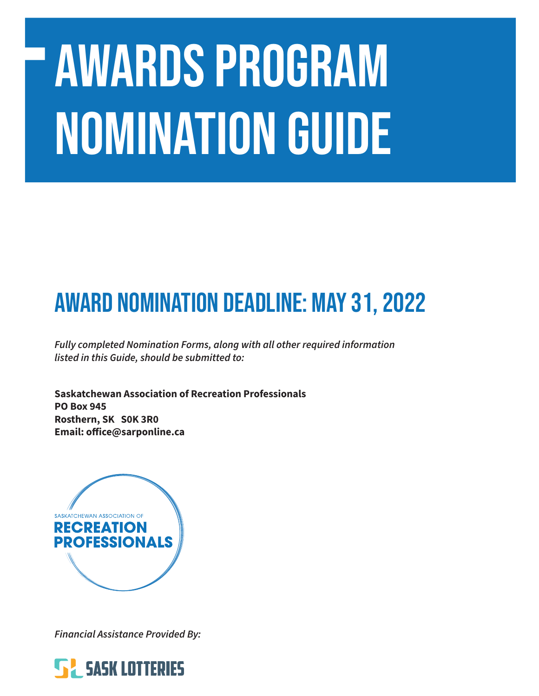# AWARDS PROGRAM NOMINATION GUIDE

# Award Nomination Deadline: MAY 31, 2022

*Fully completed Nomination Forms, along with all other required information listed in this Guide, should be submitted to:*

**Saskatchewan Association of Recreation Professionals PO Box 945 Rosthern, SK S0K 3R0 Email: office@sarponline.ca**



*Financial Assistance Provided By:*

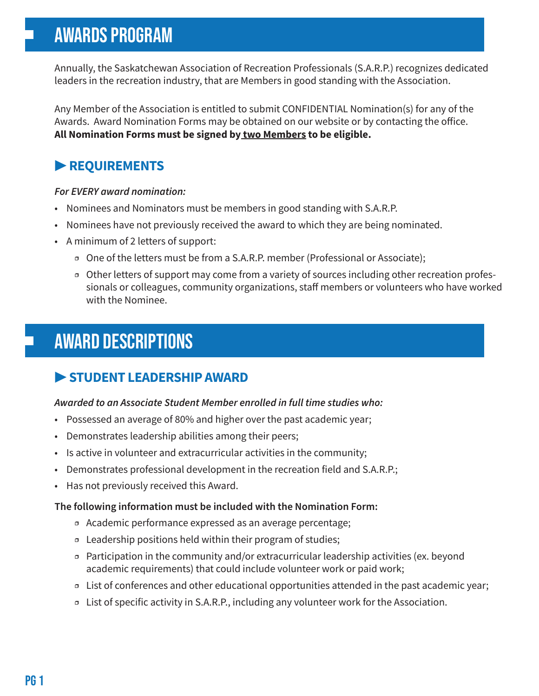# AWARDS PROGRAM

Annually, the Saskatchewan Association of Recreation Professionals (S.A.R.P.) recognizes dedicated leaders in the recreation industry, that are Members in good standing with the Association.

Any Member of the Association is entitled to submit CONFIDENTIAL Nomination(s) for any of the Awards. Award Nomination Forms may be obtained on our website or by contacting the office. **All Nomination Forms must be signed by two Members to be eligible.**

# **▶ REQUIREMENTS**

#### *For EVERY award nomination:*

- Nominees and Nominators must be members in good standing with S.A.R.P.
- Nominees have not previously received the award to which they are being nominated.
- A minimum of 2 letters of support:
	- ӽ One of the letters must be from a S.A.R.P. member (Professional or Associate);
	- **□** Other letters of support may come from a variety of sources including other recreation professionals or colleagues, community organizations, staff members or volunteers who have worked with the Nominee.

# AWARD DESCRIPTIONS

## **▶ STUDENT LEADERSHIP AWARD**

#### *Awarded to an Associate Student Member enrolled in full time studies who:*

- Possessed an average of 80% and higher over the past academic year;
- Demonstrates leadership abilities among their peers;
- Is active in volunteer and extracurricular activities in the community;
- Demonstrates professional development in the recreation field and S.A.R.P.;
- Has not previously received this Award.

#### **The following information must be included with the Nomination Form:**

- ӽ Academic performance expressed as an average percentage;
- ӽ Leadership positions held within their program of studies;
- ӽ Participation in the community and/or extracurricular leadership activities (ex. beyond academic requirements) that could include volunteer work or paid work;
- ӽ List of conferences and other educational opportunities attended in the past academic year;
- ӽ List of specific activity in S.A.R.P., including any volunteer work for the Association.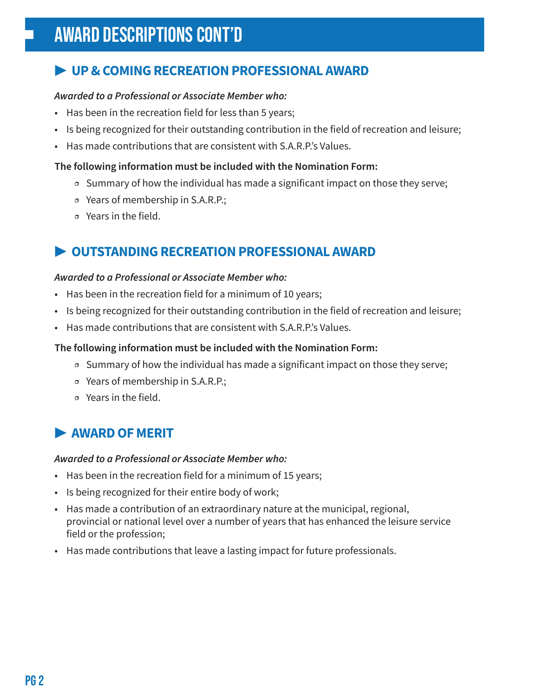# **▶ UP & COMING RECREATION PROFESSIONAL AWARD**

#### *Awarded to a Professional or Associate Member who:*

- Has been in the recreation field for less than 5 years;
- Is being recognized for their outstanding contribution in the field of recreation and leisure;
- Has made contributions that are consistent with S.A.R.P.'s Values.

#### **The following information must be included with the Nomination Form:**

- Summary of how the individual has made a significant impact on those they serve;
- ӽ Years of membership in S.A.R.P.;
- ӽ Years in the field.

### **▶ OUTSTANDING RECREATION PROFESSIONAL AWARD**

#### *Awarded to a Professional or Associate Member who:*

- Has been in the recreation field for a minimum of 10 years;
- Is being recognized for their outstanding contribution in the field of recreation and leisure;
- Has made contributions that are consistent with S.A.R.P.'s Values.

#### **The following information must be included with the Nomination Form:**

- $\sigma$  Summary of how the individual has made a significant impact on those they serve;
- ӽ Years of membership in S.A.R.P.;
- ӽ Years in the field.

## **▶ AWARD OF MERIT**

#### *Awarded to a Professional or Associate Member who:*

- Has been in the recreation field for a minimum of 15 years;
- Is being recognized for their entire body of work;
- Has made a contribution of an extraordinary nature at the municipal, regional, provincial or national level over a number of years that has enhanced the leisure service field or the profession;
- Has made contributions that leave a lasting impact for future professionals.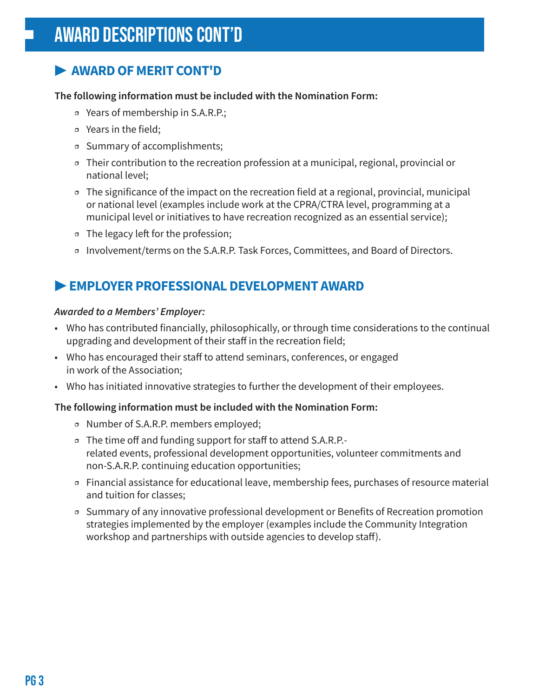# **▶ AWARD OF MERIT CONT'D**

#### **The following information must be included with the Nomination Form:**

- ӽ Years of membership in S.A.R.P.;
- □ Years in the field;
- ӽ Summary of accomplishments;
- ӽ Their contribution to the recreation profession at a municipal, regional, provincial or national level;
- ӽ The significance of the impact on the recreation field at a regional, provincial, municipal or national level (examples include work at the CPRA/CTRA level, programming at a municipal level or initiatives to have recreation recognized as an essential service);
- ӽ The legacy left for the profession;
- ӽ Involvement/terms on the S.A.R.P. Task Forces, Committees, and Board of Directors.

## **▶ EMPLOYER PROFESSIONAL DEVELOPMENT AWARD**

#### *Awarded to a Members' Employer:*

- Who has contributed financially, philosophically, or through time considerations to the continual upgrading and development of their staff in the recreation field;
- Who has encouraged their staff to attend seminars, conferences, or engaged in work of the Association;
- Who has initiated innovative strategies to further the development of their employees.

#### **The following information must be included with the Nomination Form:**

- ӽ Number of S.A.R.P. members employed;
- ӽ The time off and funding support for staff to attend S.A.R.P. related events, professional development opportunities, volunteer commitments and non-S.A.R.P. continuing education opportunities;
- ӽ Financial assistance for educational leave, membership fees, purchases of resource material and tuition for classes;
- ӽ Summary of any innovative professional development or Benefits of Recreation promotion strategies implemented by the employer (examples include the Community Integration workshop and partnerships with outside agencies to develop staff).